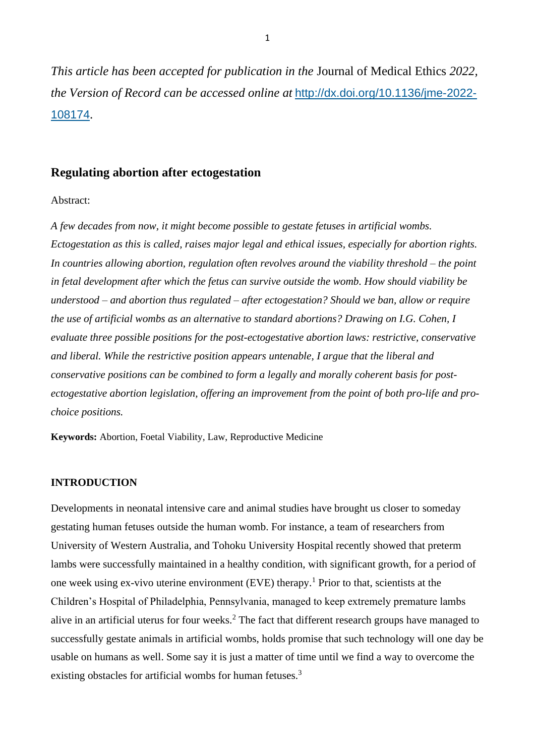*This article has been accepted for publication in the* Journal of Medical Ethics *2022, the Version of Record can be accessed online at* [http://dx.doi.org/10.1136/jme-2022-](http://dx.doi.org/10.1136/jme-2022-108174) [108174](http://dx.doi.org/10.1136/jme-2022-108174).

## **Regulating abortion after ectogestation**

#### Abstract:

*A few decades from now, it might become possible to gestate fetuses in artificial wombs. Ectogestation as this is called, raises major legal and ethical issues, especially for abortion rights. In countries allowing abortion, regulation often revolves around the viability threshold – the point in fetal development after which the fetus can survive outside the womb. How should viability be understood – and abortion thus regulated – after ectogestation? Should we ban, allow or require the use of artificial wombs as an alternative to standard abortions? Drawing on I.G. Cohen, I evaluate three possible positions for the post-ectogestative abortion laws: restrictive, conservative and liberal. While the restrictive position appears untenable, I argue that the liberal and conservative positions can be combined to form a legally and morally coherent basis for postectogestative abortion legislation, offering an improvement from the point of both pro-life and prochoice positions.*

**Keywords:** Abortion, Foetal Viability, Law, Reproductive Medicine

## **INTRODUCTION**

Developments in neonatal intensive care and animal studies have brought us closer to someday gestating human fetuses outside the human womb. For instance, a team of researchers from University of Western Australia, and Tohoku University Hospital recently showed that preterm lambs were successfully maintained in a healthy condition, with significant growth, for a period of one week using ex-vivo uterine environment (EVE) therapy.<sup>1</sup> Prior to that, scientists at the Children's Hospital of Philadelphia, Pennsylvania, managed to keep extremely premature lambs alive in an artificial uterus for four weeks.<sup>2</sup> The fact that different research groups have managed to successfully gestate animals in artificial wombs, holds promise that such technology will one day be usable on humans as well. Some say it is just a matter of time until we find a way to overcome the existing obstacles for artificial wombs for human fetuses.<sup>3</sup>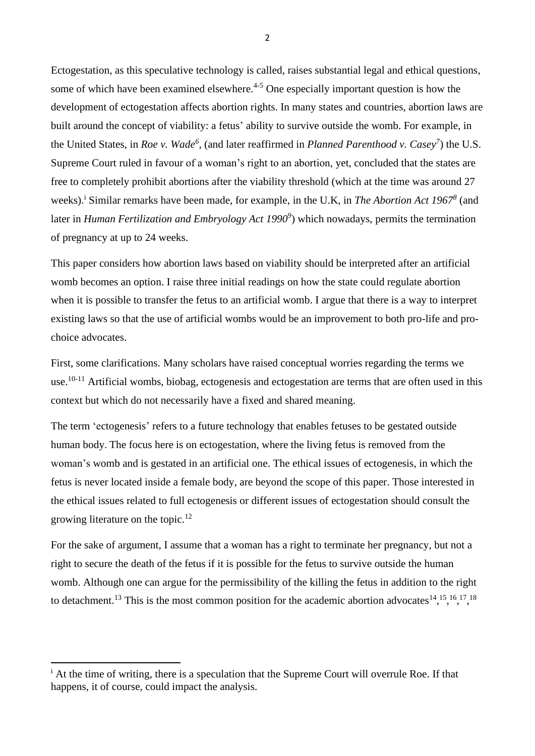Ectogestation, as this speculative technology is called, raises substantial legal and ethical questions, some of which have been examined elsewhere.<sup> $4-5$ </sup> One especially important question is how the development of ectogestation affects abortion rights. In many states and countries, abortion laws are built around the concept of viability: a fetus' ability to survive outside the womb. For example, in the United States, in *Roe v. Wade<sup>6</sup>* , (and later reaffirmed in *Planned Parenthood v. Casey<sup>7</sup>* ) the U.S. Supreme Court ruled in favour of a woman's right to an abortion, yet, concluded that the states are free to completely prohibit abortions after the viability threshold (which at the time was around 27 weeks).<sup>i</sup> Similar remarks have been made, for example, in the U.K, in *The Abortion Act 1967<sup>8</sup>* (and later in *Human Fertilization and Embryology Act 1990<sup>9</sup>* ) which nowadays, permits the termination of pregnancy at up to 24 weeks.

This paper considers how abortion laws based on viability should be interpreted after an artificial womb becomes an option. I raise three initial readings on how the state could regulate abortion when it is possible to transfer the fetus to an artificial womb. I argue that there is a way to interpret existing laws so that the use of artificial wombs would be an improvement to both pro-life and prochoice advocates.

First, some clarifications. Many scholars have raised conceptual worries regarding the terms we use.<sup>10-11</sup> Artificial wombs, biobag, ectogenesis and ectogestation are terms that are often used in this context but which do not necessarily have a fixed and shared meaning.

The term 'ectogenesis' refers to a future technology that enables fetuses to be gestated outside human body. The focus here is on ectogestation, where the living fetus is removed from the woman's womb and is gestated in an artificial one. The ethical issues of ectogenesis, in which the fetus is never located inside a female body, are beyond the scope of this paper. Those interested in the ethical issues related to full ectogenesis or different issues of ectogestation should consult the growing literature on the topic.<sup>12</sup>

For the sake of argument, I assume that a woman has a right to terminate her pregnancy, but not a right to secure the death of the fetus if it is possible for the fetus to survive outside the human womb. Although one can argue for the permissibility of the killing the fetus in addition to the right to detachment.<sup>13</sup> This is the most common position for the academic abortion advocates<sup>14</sup>,<sup>15</sup>,<sup>16</sup>,<sup>17</sup>,<sup>18</sup>

2

 $\mathbf{\hat{i}}$  At the time of writing, there is a speculation that the Supreme Court will overrule Roe. If that happens, it of course, could impact the analysis.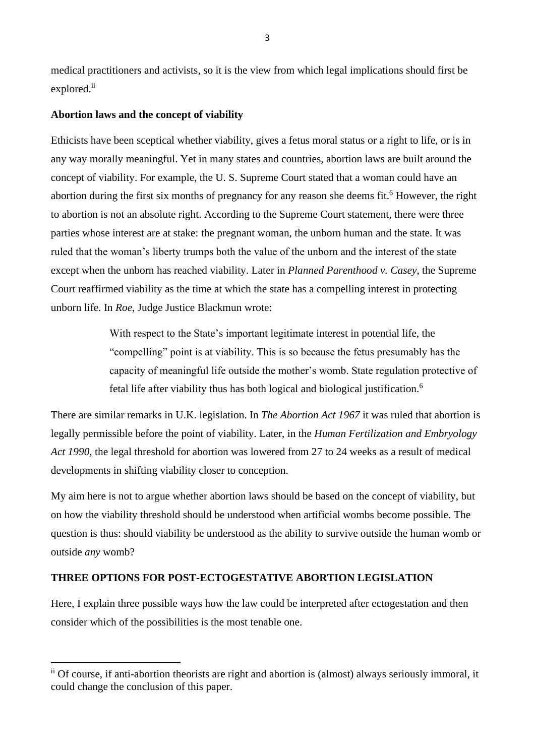medical practitioners and activists, so it is the view from which legal implications should first be explored.ii

## **Abortion laws and the concept of viability**

Ethicists have been sceptical whether viability, gives a fetus moral status or a right to life, or is in any way morally meaningful. Yet in many states and countries, abortion laws are built around the concept of viability. For example, the U. S. Supreme Court stated that a woman could have an abortion during the first six months of pregnancy for any reason she deems fit. <sup>6</sup> However, the right to abortion is not an absolute right. According to the Supreme Court statement, there were three parties whose interest are at stake: the pregnant woman, the unborn human and the state. It was ruled that the woman's liberty trumps both the value of the unborn and the interest of the state except when the unborn has reached viability. Later in *Planned Parenthood v. Casey*, the Supreme Court reaffirmed viability as the time at which the state has a compelling interest in protecting unborn life. In *Roe*, Judge Justice Blackmun wrote:

> With respect to the State's important legitimate interest in potential life, the "compelling" point is at viability. This is so because the fetus presumably has the capacity of meaningful life outside the mother's womb. State regulation protective of fetal life after viability thus has both logical and biological justification.<sup>6</sup>

There are similar remarks in U.K. legislation. In *The Abortion Act 1967* it was ruled that abortion is legally permissible before the point of viability. Later, in the *Human Fertilization and Embryology Act 1990*, the legal threshold for abortion was lowered from 27 to 24 weeks as a result of medical developments in shifting viability closer to conception.

My aim here is not to argue whether abortion laws should be based on the concept of viability, but on how the viability threshold should be understood when artificial wombs become possible. The question is thus: should viability be understood as the ability to survive outside the human womb or outside *any* womb?

## **THREE OPTIONS FOR POST-ECTOGESTATIVE ABORTION LEGISLATION**

Here, I explain three possible ways how the law could be interpreted after ectogestation and then consider which of the possibilities is the most tenable one.

ii Of course, if anti-abortion theorists are right and abortion is (almost) always seriously immoral, it could change the conclusion of this paper.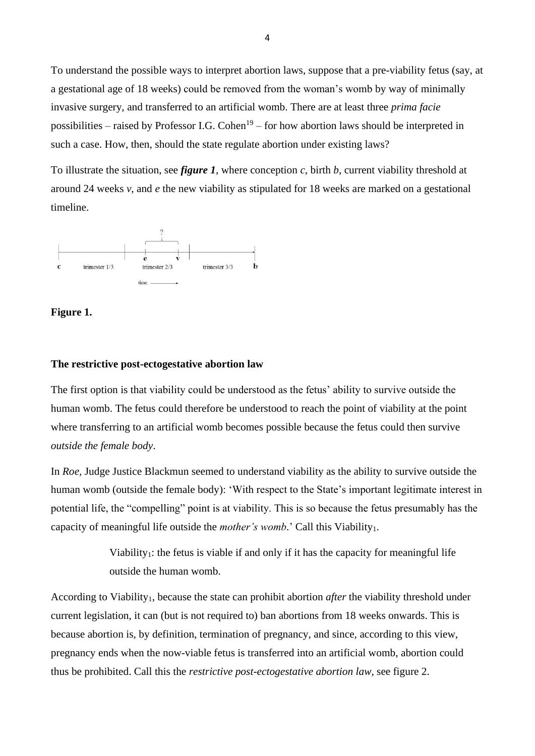To understand the possible ways to interpret abortion laws, suppose that a pre-viability fetus (say, at a gestational age of 18 weeks) could be removed from the woman's womb by way of minimally invasive surgery, and transferred to an artificial womb. There are at least three *prima facie* possibilities – raised by Professor I.G. Cohen<sup>19</sup> – for how abortion laws should be interpreted in such a case. How, then, should the state regulate abortion under existing laws?

To illustrate the situation, see *figure 1*, where conception *c*, birth *b*, current viability threshold at around 24 weeks *v*, and *e* the new viability as stipulated for 18 weeks are marked on a gestational timeline.





#### **The restrictive post-ectogestative abortion law**

The first option is that viability could be understood as the fetus' ability to survive outside the human womb. The fetus could therefore be understood to reach the point of viability at the point where transferring to an artificial womb becomes possible because the fetus could then survive *outside the female body*.

In *Roe,* Judge Justice Blackmun seemed to understand viability as the ability to survive outside the human womb (outside the female body): 'With respect to the State's important legitimate interest in potential life, the "compelling" point is at viability. This is so because the fetus presumably has the capacity of meaningful life outside the *mother's womb*.' Call this Viability<sub>1</sub>.

> Viability<sub>1</sub>: the fetus is viable if and only if it has the capacity for meaningful life outside the human womb.

According to Viability1, because the state can prohibit abortion *after* the viability threshold under current legislation, it can (but is not required to) ban abortions from 18 weeks onwards. This is because abortion is, by definition, termination of pregnancy, and since, according to this view, pregnancy ends when the now-viable fetus is transferred into an artificial womb, abortion could thus be prohibited. Call this the *restrictive post-ectogestative abortion law*, see figure 2.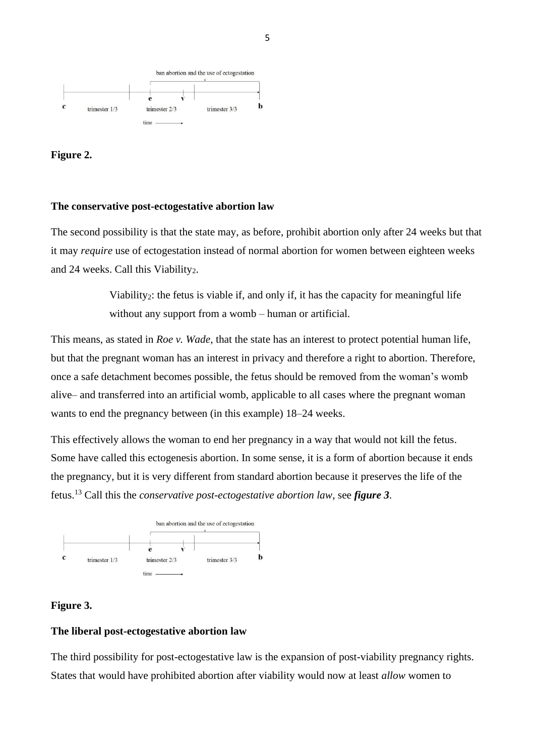

# **Figure 2.**

#### **The conservative post-ectogestative abortion law**

The second possibility is that the state may, as before, prohibit abortion only after 24 weeks but that it may *require* use of ectogestation instead of normal abortion for women between eighteen weeks and 24 weeks. Call this Viability<sub>2</sub>.

> Viability2: the fetus is viable if, and only if, it has the capacity for meaningful life without any support from a womb – human or artificial.

This means, as stated in *Roe v. Wade*, that the state has an interest to protect potential human life, but that the pregnant woman has an interest in privacy and therefore a right to abortion. Therefore, once a safe detachment becomes possible, the fetus should be removed from the woman's womb alive– and transferred into an artificial womb, applicable to all cases where the pregnant woman wants to end the pregnancy between (in this example) 18–24 weeks.

This effectively allows the woman to end her pregnancy in a way that would not kill the fetus. Some have called this ectogenesis abortion. In some sense, it is a form of abortion because it ends the pregnancy, but it is very different from standard abortion because it preserves the life of the fetus.<sup>13</sup> Call this the *conservative post-ectogestative abortion law*, see *figure 3*.



## **Figure 3.**

#### **The liberal post-ectogestative abortion law**

The third possibility for post-ectogestative law is the expansion of post-viability pregnancy rights. States that would have prohibited abortion after viability would now at least *allow* women to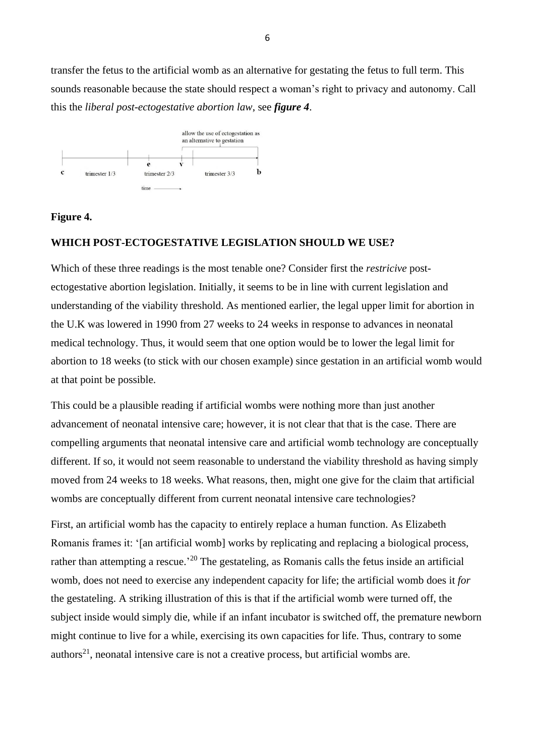transfer the fetus to the artificial womb as an alternative for gestating the fetus to full term. This sounds reasonable because the state should respect a woman's right to privacy and autonomy. Call this the *liberal post-ectogestative abortion law*, see *figure 4*.



## **Figure 4.**

## **WHICH POST-ECTOGESTATIVE LEGISLATION SHOULD WE USE?**

Which of these three readings is the most tenable one? Consider first the *restricive* postectogestative abortion legislation. Initially, it seems to be in line with current legislation and understanding of the viability threshold. As mentioned earlier, the legal upper limit for abortion in the U.K was lowered in 1990 from 27 weeks to 24 weeks in response to advances in neonatal medical technology. Thus, it would seem that one option would be to lower the legal limit for abortion to 18 weeks (to stick with our chosen example) since gestation in an artificial womb would at that point be possible.

This could be a plausible reading if artificial wombs were nothing more than just another advancement of neonatal intensive care; however, it is not clear that that is the case. There are compelling arguments that neonatal intensive care and artificial womb technology are conceptually different. If so, it would not seem reasonable to understand the viability threshold as having simply moved from 24 weeks to 18 weeks. What reasons, then, might one give for the claim that artificial wombs are conceptually different from current neonatal intensive care technologies?

First, an artificial womb has the capacity to entirely replace a human function. As Elizabeth Romanis frames it: '[an artificial womb] works by replicating and replacing a biological process, rather than attempting a rescue.<sup>20</sup> The gestateling, as Romanis calls the fetus inside an artificial womb, does not need to exercise any independent capacity for life; the artificial womb does it *for* the gestateling. A striking illustration of this is that if the artificial womb were turned off, the subject inside would simply die, while if an infant incubator is switched off, the premature newborn might continue to live for a while, exercising its own capacities for life. Thus, contrary to some authors<sup>21</sup>, neonatal intensive care is not a creative process, but artificial wombs are.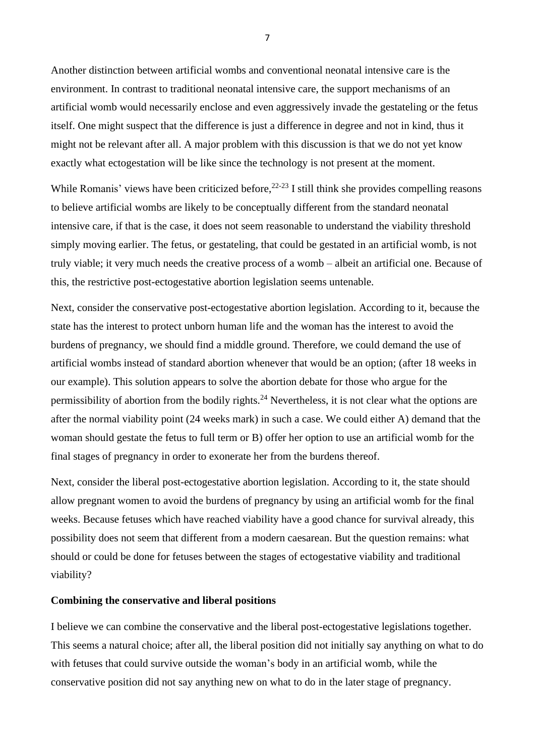Another distinction between artificial wombs and conventional neonatal intensive care is the environment. In contrast to traditional neonatal intensive care, the support mechanisms of an artificial womb would necessarily enclose and even aggressively invade the gestateling or the fetus itself. One might suspect that the difference is just a difference in degree and not in kind, thus it might not be relevant after all. A major problem with this discussion is that we do not yet know exactly what ectogestation will be like since the technology is not present at the moment.

While Romanis' views have been criticized before,  $22-23$  I still think she provides compelling reasons to believe artificial wombs are likely to be conceptually different from the standard neonatal intensive care, if that is the case, it does not seem reasonable to understand the viability threshold simply moving earlier. The fetus, or gestateling, that could be gestated in an artificial womb, is not truly viable; it very much needs the creative process of a womb – albeit an artificial one. Because of this, the restrictive post-ectogestative abortion legislation seems untenable.

Next, consider the conservative post-ectogestative abortion legislation. According to it, because the state has the interest to protect unborn human life and the woman has the interest to avoid the burdens of pregnancy, we should find a middle ground. Therefore, we could demand the use of artificial wombs instead of standard abortion whenever that would be an option; (after 18 weeks in our example). This solution appears to solve the abortion debate for those who argue for the permissibility of abortion from the bodily rights.<sup>24</sup> Nevertheless, it is not clear what the options are after the normal viability point (24 weeks mark) in such a case. We could either A) demand that the woman should gestate the fetus to full term or B) offer her option to use an artificial womb for the final stages of pregnancy in order to exonerate her from the burdens thereof.

Next, consider the liberal post-ectogestative abortion legislation. According to it, the state should allow pregnant women to avoid the burdens of pregnancy by using an artificial womb for the final weeks. Because fetuses which have reached viability have a good chance for survival already, this possibility does not seem that different from a modern caesarean. But the question remains: what should or could be done for fetuses between the stages of ectogestative viability and traditional viability?

#### **Combining the conservative and liberal positions**

I believe we can combine the conservative and the liberal post-ectogestative legislations together. This seems a natural choice; after all, the liberal position did not initially say anything on what to do with fetuses that could survive outside the woman's body in an artificial womb, while the conservative position did not say anything new on what to do in the later stage of pregnancy.

7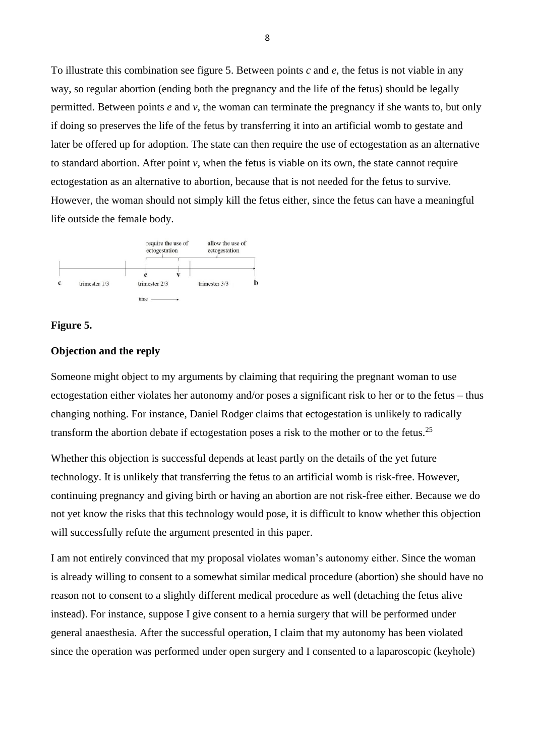To illustrate this combination see figure 5. Between points *c* and *e*, the fetus is not viable in any way, so regular abortion (ending both the pregnancy and the life of the fetus) should be legally permitted. Between points *e* and *v*, the woman can terminate the pregnancy if she wants to, but only if doing so preserves the life of the fetus by transferring it into an artificial womb to gestate and later be offered up for adoption. The state can then require the use of ectogestation as an alternative to standard abortion. After point *v*, when the fetus is viable on its own, the state cannot require ectogestation as an alternative to abortion, because that is not needed for the fetus to survive. However, the woman should not simply kill the fetus either, since the fetus can have a meaningful life outside the female body.



### **Figure 5.**

## **Objection and the reply**

Someone might object to my arguments by claiming that requiring the pregnant woman to use ectogestation either violates her autonomy and/or poses a significant risk to her or to the fetus – thus changing nothing. For instance, Daniel Rodger claims that ectogestation is unlikely to radically transform the abortion debate if ectogestation poses a risk to the mother or to the fetus.<sup>25</sup>

Whether this objection is successful depends at least partly on the details of the yet future technology. It is unlikely that transferring the fetus to an artificial womb is risk-free. However, continuing pregnancy and giving birth or having an abortion are not risk-free either. Because we do not yet know the risks that this technology would pose, it is difficult to know whether this objection will successfully refute the argument presented in this paper.

I am not entirely convinced that my proposal violates woman's autonomy either. Since the woman is already willing to consent to a somewhat similar medical procedure (abortion) she should have no reason not to consent to a slightly different medical procedure as well (detaching the fetus alive instead). For instance, suppose I give consent to a hernia surgery that will be performed under general anaesthesia. After the successful operation, I claim that my autonomy has been violated since the operation was performed under open surgery and I consented to a laparoscopic (keyhole)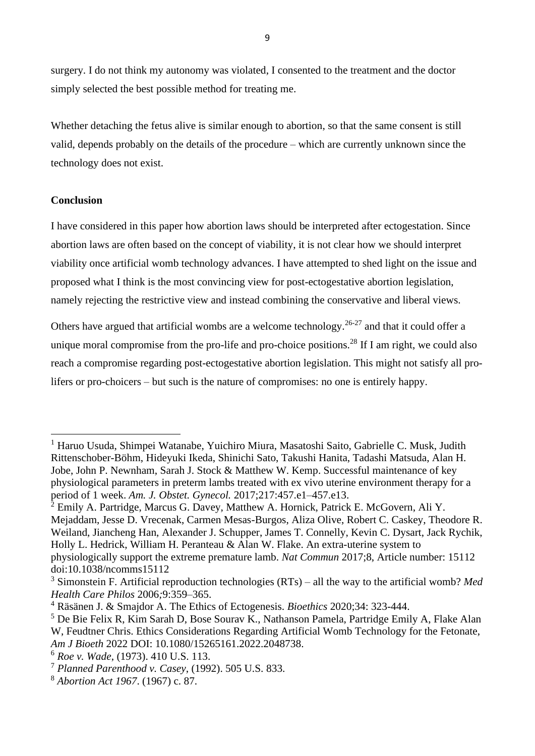surgery. I do not think my autonomy was violated, I consented to the treatment and the doctor simply selected the best possible method for treating me.

Whether detaching the fetus alive is similar enough to abortion, so that the same consent is still valid, depends probably on the details of the procedure – which are currently unknown since the technology does not exist.

## **Conclusion**

I have considered in this paper how abortion laws should be interpreted after ectogestation. Since abortion laws are often based on the concept of viability, it is not clear how we should interpret viability once artificial womb technology advances. I have attempted to shed light on the issue and proposed what I think is the most convincing view for post-ectogestative abortion legislation, namely rejecting the restrictive view and instead combining the conservative and liberal views.

Others have argued that artificial wombs are a welcome technology.<sup>26-27</sup> and that it could offer a unique moral compromise from the pro-life and pro-choice positions.<sup>28</sup> If I am right, we could also reach a compromise regarding post-ectogestative abortion legislation. This might not satisfy all prolifers or pro-choicers – but such is the nature of compromises: no one is entirely happy.

<sup>1</sup> Haruo Usuda, Shimpei Watanabe, Yuichiro Miura, Masatoshi Saito, Gabrielle C. Musk, Judith Rittenschober-Böhm, Hideyuki Ikeda, Shinichi Sato, Takushi Hanita, Tadashi Matsuda, Alan H. Jobe, John P. Newnham, Sarah J. Stock & Matthew W. Kemp. Successful maintenance of key physiological parameters in preterm lambs treated with ex vivo uterine environment therapy for a period of 1 week. *Am. J. Obstet. Gynecol.* 2017;217:457.e1–457.e13.

 $2$  Emily A. Partridge, Marcus G. Davey, Matthew A. Hornick, Patrick E. McGovern, Ali Y. Mejaddam, Jesse D. Vrecenak, Carmen Mesas-Burgos, Aliza Olive, Robert C. Caskey, Theodore R. Weiland, Jiancheng Han, Alexander J. Schupper, James T. Connelly, Kevin C. Dysart, Jack Rychik, Holly L. Hedrick, William H. Peranteau & Alan W. Flake. An extra-uterine system to physiologically support the extreme premature lamb. *Nat Commun* 2017;8, Article number: 15112 doi:10.1038/ncomms15112

<sup>3</sup> Simonstein F. Artificial reproduction technologies (RTs) – all the way to the artificial womb? *Med Health Care Philos* 2006*;*9:359–365.

<sup>4</sup> Räsänen J. & Smajdor A. The Ethics of Ectogenesis. *Bioethics* 2020;34: 323-444.

<sup>5</sup> De Bie Felix R, Kim Sarah D, Bose Sourav K., Nathanson Pamela, Partridge Emily A, Flake Alan W, Feudtner Chris. Ethics Considerations Regarding Artificial Womb Technology for the Fetonate, *Am J Bioeth* 2022 DOI: 10.1080/15265161.2022.2048738.

<sup>6</sup> *Roe v. Wade*, (1973). 410 U.S. 113.

<sup>7</sup> *Planned Parenthood v. Casey*, (1992). 505 U.S. 833.

<sup>8</sup> *Abortion Act 1967*. (1967) c. 87.